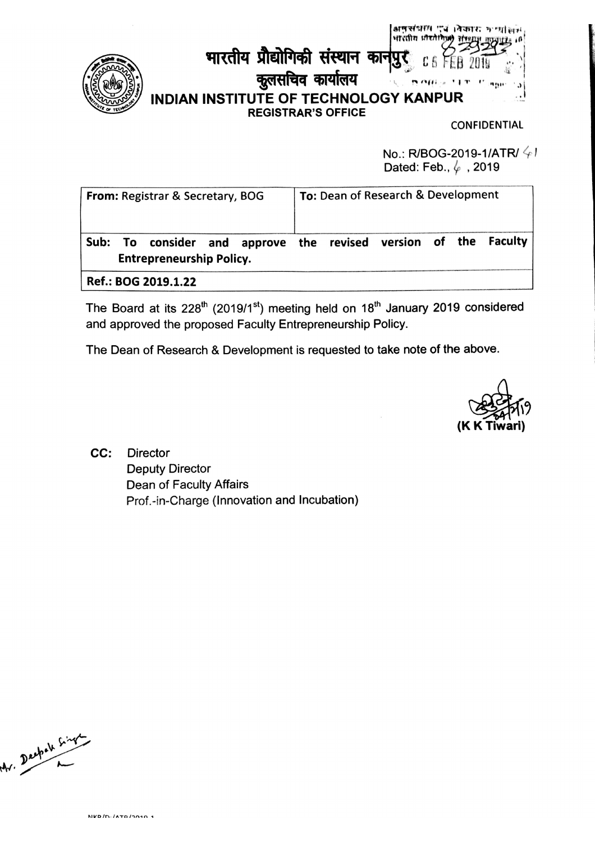

भारतीय प्रौद्योगिकी संस्थान कान C 5 कुलसचिव कार्यालय **INDIAN INSTITUTE OF TECHNOLOGY KANPUR REGISTRAR'S OFFICE** 

**CONFIDENTIAL** 

No.: R/BOG-2019-1/ATR/ $\frac{1}{2}$ Dated: Feb.,  $\varphi$ , 2019

अनुसंधाम एवं ।वेकारः मृत्यां लग

9m

भारतीय *धौरते* 

| <b>From: Registrar &amp; Secretary, BOG</b> | To: Dean of Research & Development                              |  |
|---------------------------------------------|-----------------------------------------------------------------|--|
| <b>Entrepreneurship Policy.</b>             | Sub: To consider and approve the revised version of the Faculty |  |
| Ref.: BOG 2019.1.22                         |                                                                 |  |

The Board at its 228<sup>th</sup> (2019/1<sup>st</sup>) meeting held on 18<sup>th</sup> January 2019 considered and approved the proposed Faculty Entrepreneurship Policy.

The Dean of Research & Development is requested to take note of the above.

CC: **Director Deputy Director** Dean of Faculty Affairs Prof.-in-Charge (Innovation and Incubation)

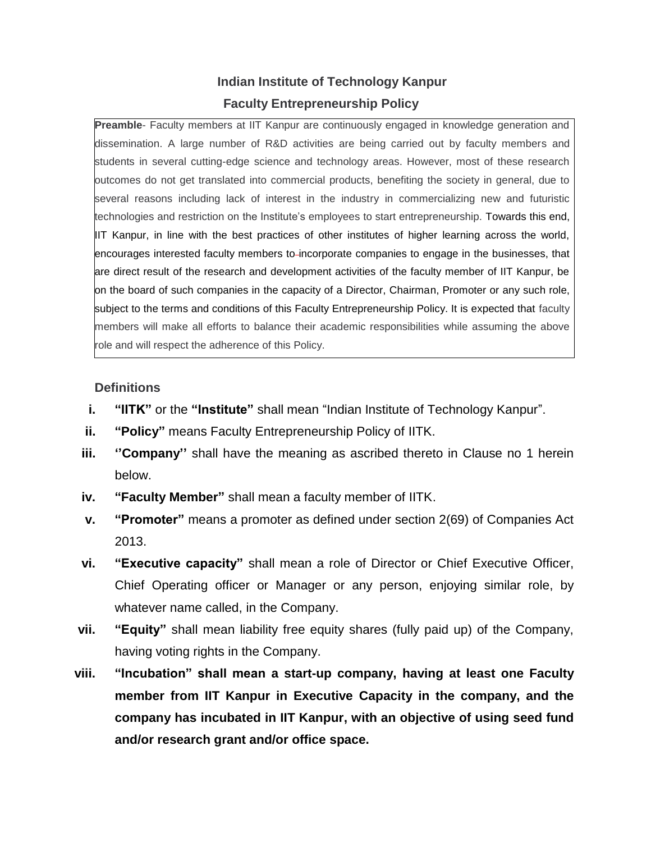# **Indian Institute of Technology Kanpur Faculty Entrepreneurship Policy**

**Preamble**- Faculty members at IIT Kanpur are continuously engaged in knowledge generation and dissemination. A large number of R&D activities are being carried out by faculty members and students in several cutting-edge science and technology areas. However, most of these research outcomes do not get translated into commercial products, benefiting the society in general, due to several reasons including lack of interest in the industry in commercializing new and futuristic technologies and restriction on the Institute's employees to start entrepreneurship. Towards this end, IIT Kanpur, in line with the best practices of other institutes of higher learning across the world, encourages interested faculty members to incorporate companies to engage in the businesses, that are direct result of the research and development activities of the faculty member of IIT Kanpur, be on the board of such companies in the capacity of a Director, Chairman, Promoter or any such role, subject to the terms and conditions of this Faculty Entrepreneurship Policy. It is expected that faculty members will make all efforts to balance their academic responsibilities while assuming the above role and will respect the adherence of this Policy.

## **Definitions**

- **i. "IITK"** or the "**Institute"** shall mean "Indian Institute of Technology Kanpur".
- **ii. "Policy"** means Faculty Entrepreneurship Policy of IITK.
- **iii. ''Company''** shall have the meaning as ascribed thereto in Clause no 1 herein below.
- **iv. "Faculty Member"** shall mean a faculty member of IITK.
- **v. "Promoter"** means a promoter as defined under section 2(69) of Companies Act 2013.
- **vi. "Executive capacity"** shall mean a role of Director or Chief Executive Officer, Chief Operating officer or Manager or any person, enjoying similar role, by whatever name called, in the Company.
- **vii. "Equity"** shall mean liability free equity shares (fully paid up) of the Company, having voting rights in the Company.
- **viii. "Incubation" shall mean a start-up company, having at least one Faculty member from IIT Kanpur in Executive Capacity in the company, and the company has incubated in IIT Kanpur, with an objective of using seed fund and/or research grant and/or office space.**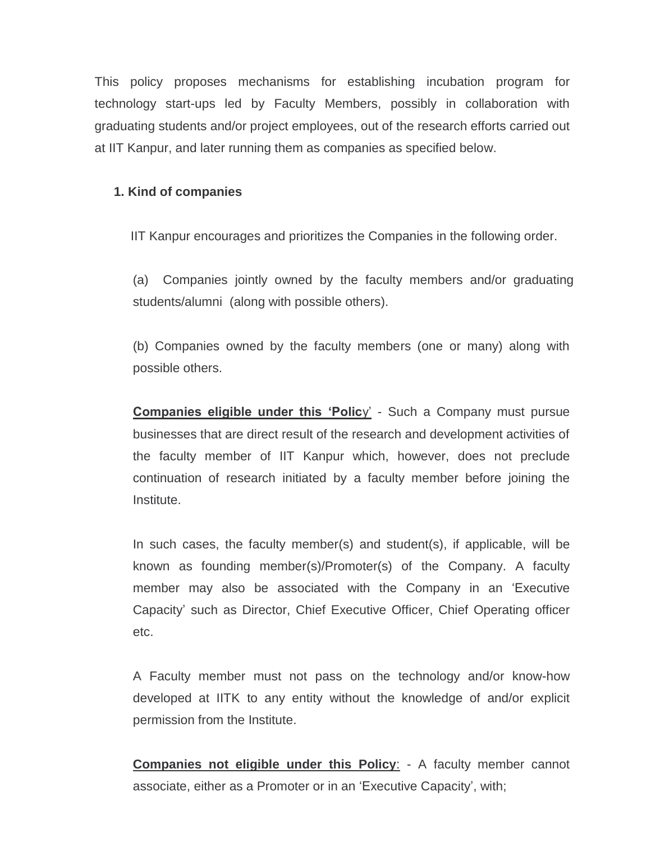This policy proposes mechanisms for establishing incubation program for technology start-ups led by Faculty Members, possibly in collaboration with graduating students and/or project employees, out of the research efforts carried out at IIT Kanpur, and later running them as companies as specified below.

## **1. Kind of companies**

IIT Kanpur encourages and prioritizes the Companies in the following order.

(a) Companies jointly owned by the faculty members and/or graduating students/alumni (along with possible others).

(b) Companies owned by the faculty members (one or many) along with possible others.

**Companies eligible under this 'Polic**y' - Such a Company must pursue businesses that are direct result of the research and development activities of the faculty member of IIT Kanpur which, however, does not preclude continuation of research initiated by a faculty member before joining the Institute.

In such cases, the faculty member(s) and student(s), if applicable, will be known as founding member(s)/Promoter(s) of the Company. A faculty member may also be associated with the Company in an 'Executive Capacity' such as Director, Chief Executive Officer, Chief Operating officer etc.

A Faculty member must not pass on the technology and/or know-how developed at IITK to any entity without the knowledge of and/or explicit permission from the Institute.

**Companies not eligible under this Policy:** - A faculty member cannot associate, either as a Promoter or in an 'Executive Capacity', with;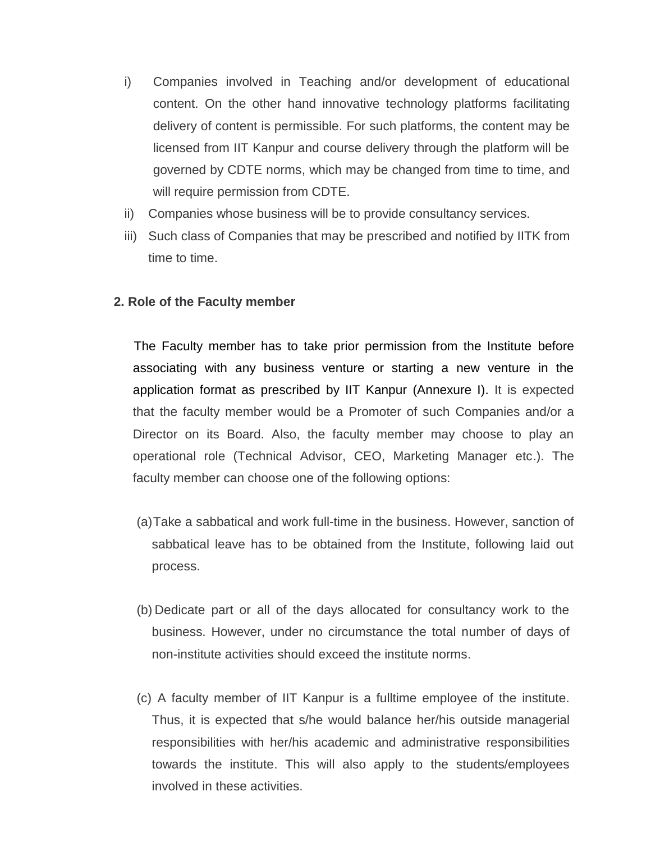- i) Companies involved in Teaching and/or development of educational content. On the other hand innovative technology platforms facilitating delivery of content is permissible. For such platforms, the content may be licensed from IIT Kanpur and course delivery through the platform will be governed by CDTE norms, which may be changed from time to time, and will require permission from CDTE.
- ii) Companies whose business will be to provide consultancy services.
- iii) Such class of Companies that may be prescribed and notified by IITK from time to time.

#### **2. Role of the Faculty member**

The Faculty member has to take prior permission from the Institute before associating with any business venture or starting a new venture in the application format as prescribed by IIT Kanpur (Annexure I). It is expected that the faculty member would be a Promoter of such Companies and/or a Director on its Board. Also, the faculty member may choose to play an operational role (Technical Advisor, CEO, Marketing Manager etc.). The faculty member can choose one of the following options:

- (a)Take a sabbatical and work full-time in the business. However, sanction of sabbatical leave has to be obtained from the Institute, following laid out process.
- (b) Dedicate part or all of the days allocated for consultancy work to the business. However, under no circumstance the total number of days of non-institute activities should exceed the institute norms.
- (c) A faculty member of IIT Kanpur is a fulltime employee of the institute. Thus, it is expected that s/he would balance her/his outside managerial responsibilities with her/his academic and administrative responsibilities towards the institute. This will also apply to the students/employees involved in these activities.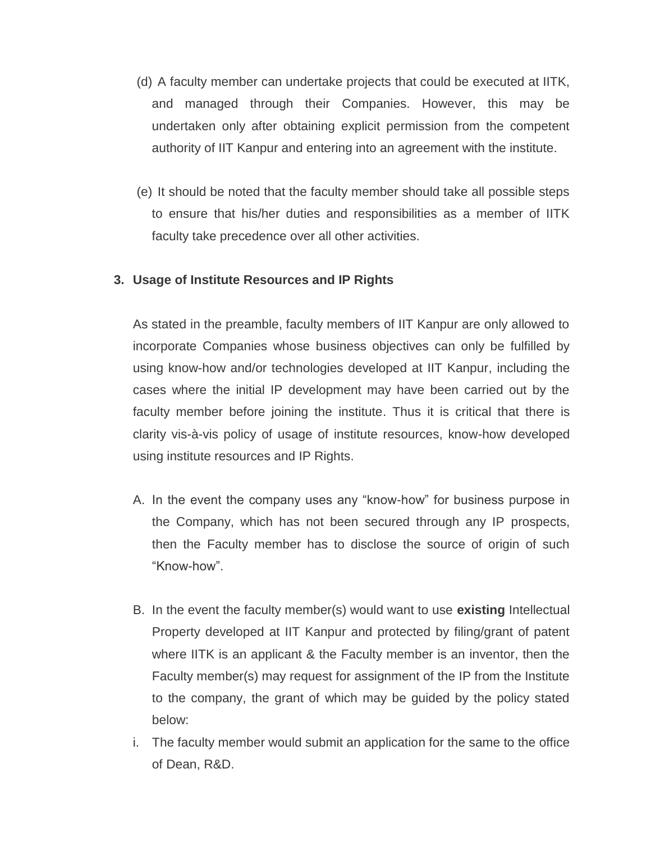- (d) A faculty member can undertake projects that could be executed at IITK, and managed through their Companies. However, this may be undertaken only after obtaining explicit permission from the competent authority of IIT Kanpur and entering into an agreement with the institute.
- (e) It should be noted that the faculty member should take all possible steps to ensure that his/her duties and responsibilities as a member of IITK faculty take precedence over all other activities.

# **3. Usage of Institute Resources and IP Rights**

As stated in the preamble, faculty members of IIT Kanpur are only allowed to incorporate Companies whose business objectives can only be fulfilled by using know-how and/or technologies developed at IIT Kanpur, including the cases where the initial IP development may have been carried out by the faculty member before joining the institute. Thus it is critical that there is clarity vis-à-vis policy of usage of institute resources, know-how developed using institute resources and IP Rights.

- A. In the event the company uses any "know-how" for business purpose in the Company, which has not been secured through any IP prospects, then the Faculty member has to disclose the source of origin of such "Know-how".
- B. In the event the faculty member(s) would want to use **existing** Intellectual Property developed at IIT Kanpur and protected by filing/grant of patent where IITK is an applicant & the Faculty member is an inventor, then the Faculty member(s) may request for assignment of the IP from the Institute to the company, the grant of which may be guided by the policy stated below:
- i. The faculty member would submit an application for the same to the office of Dean, R&D.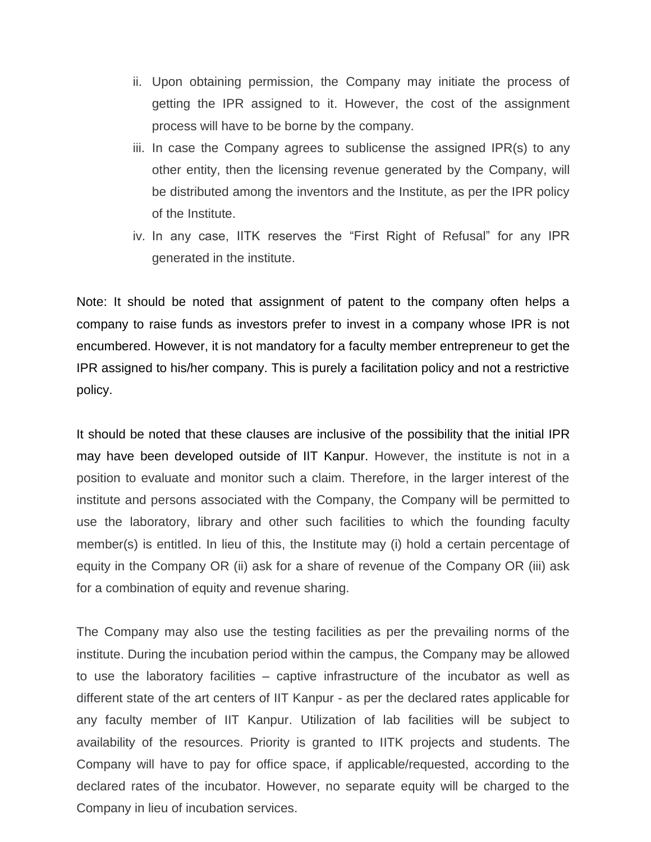- ii. Upon obtaining permission, the Company may initiate the process of getting the IPR assigned to it. However, the cost of the assignment process will have to be borne by the company.
- iii. In case the Company agrees to sublicense the assigned IPR(s) to any other entity, then the licensing revenue generated by the Company, will be distributed among the inventors and the Institute, as per the IPR policy of the Institute.
- iv. In any case, IITK reserves the "First Right of Refusal" for any IPR generated in the institute.

Note: It should be noted that assignment of patent to the company often helps a company to raise funds as investors prefer to invest in a company whose IPR is not encumbered. However, it is not mandatory for a faculty member entrepreneur to get the IPR assigned to his/her company. This is purely a facilitation policy and not a restrictive policy.

It should be noted that these clauses are inclusive of the possibility that the initial IPR may have been developed outside of IIT Kanpur. However, the institute is not in a position to evaluate and monitor such a claim. Therefore, in the larger interest of the institute and persons associated with the Company, the Company will be permitted to use the laboratory, library and other such facilities to which the founding faculty member(s) is entitled. In lieu of this, the Institute may (i) hold a certain percentage of equity in the Company OR (ii) ask for a share of revenue of the Company OR (iii) ask for a combination of equity and revenue sharing.

The Company may also use the testing facilities as per the prevailing norms of the institute. During the incubation period within the campus, the Company may be allowed to use the laboratory facilities – captive infrastructure of the incubator as well as different state of the art centers of IIT Kanpur - as per the declared rates applicable for any faculty member of IIT Kanpur. Utilization of lab facilities will be subject to availability of the resources. Priority is granted to IITK projects and students. The Company will have to pay for office space, if applicable/requested, according to the declared rates of the incubator. However, no separate equity will be charged to the Company in lieu of incubation services.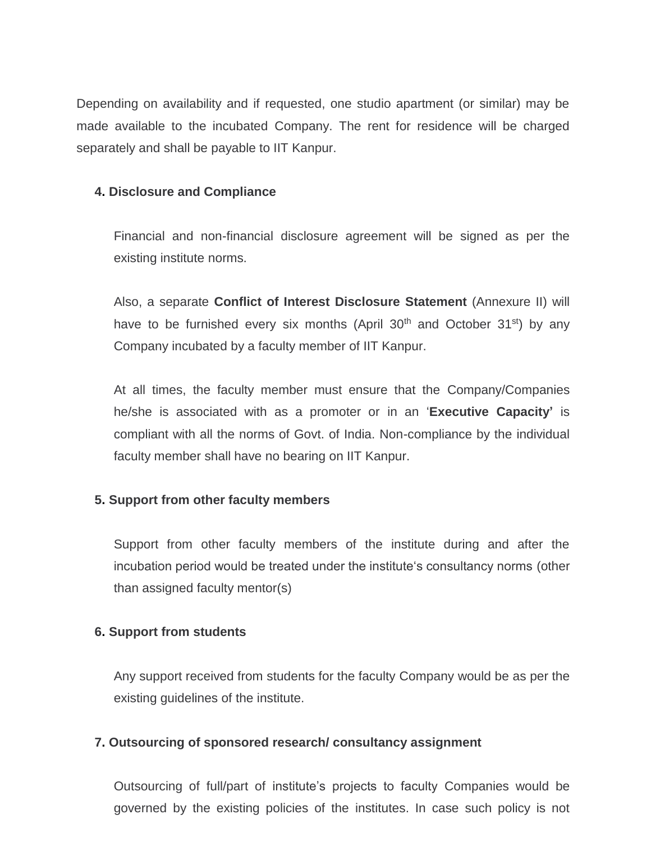Depending on availability and if requested, one studio apartment (or similar) may be made available to the incubated Company. The rent for residence will be charged separately and shall be payable to IIT Kanpur.

## **4. Disclosure and Compliance**

Financial and non-financial disclosure agreement will be signed as per the existing institute norms.

Also, a separate **Conflict of Interest Disclosure Statement** (Annexure II) will have to be furnished every six months (April  $30<sup>th</sup>$  and October  $31<sup>st</sup>$ ) by any Company incubated by a faculty member of IIT Kanpur.

At all times, the faculty member must ensure that the Company/Companies he/she is associated with as a promoter or in an '**Executive Capacity'** is compliant with all the norms of Govt. of India. Non-compliance by the individual faculty member shall have no bearing on IIT Kanpur.

#### **5. Support from other faculty members**

Support from other faculty members of the institute during and after the incubation period would be treated under the institute's consultancy norms (other than assigned faculty mentor(s)

#### **6. Support from students**

Any support received from students for the faculty Company would be as per the existing guidelines of the institute.

#### **7. Outsourcing of sponsored research/ consultancy assignment**

Outsourcing of full/part of institute's projects to faculty Companies would be governed by the existing policies of the institutes. In case such policy is not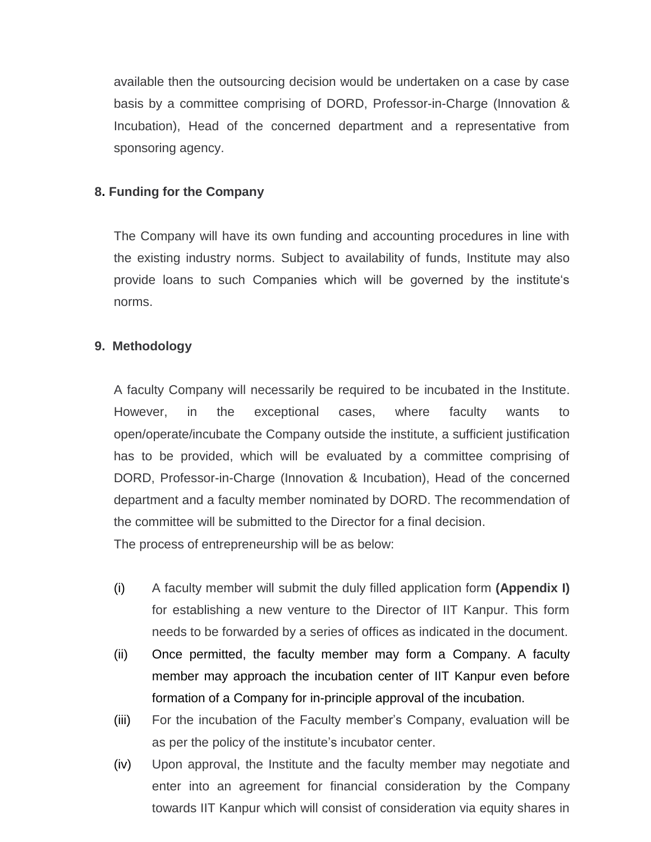available then the outsourcing decision would be undertaken on a case by case basis by a committee comprising of DORD, Professor-in-Charge (Innovation & Incubation), Head of the concerned department and a representative from sponsoring agency.

## **8. Funding for the Company**

The Company will have its own funding and accounting procedures in line with the existing industry norms. Subject to availability of funds, Institute may also provide loans to such Companies which will be governed by the institute's norms.

# **9. Methodology**

A faculty Company will necessarily be required to be incubated in the Institute. However, in the exceptional cases, where faculty wants to open/operate/incubate the Company outside the institute, a sufficient justification has to be provided, which will be evaluated by a committee comprising of DORD, Professor-in-Charge (Innovation & Incubation), Head of the concerned department and a faculty member nominated by DORD. The recommendation of the committee will be submitted to the Director for a final decision.

The process of entrepreneurship will be as below:

- (i) A faculty member will submit the duly filled application form **(Appendix I)**  for establishing a new venture to the Director of IIT Kanpur. This form needs to be forwarded by a series of offices as indicated in the document.
- (ii) Once permitted, the faculty member may form a Company. A faculty member may approach the incubation center of IIT Kanpur even before formation of a Company for in-principle approval of the incubation.
- (iii) For the incubation of the Faculty member's Company, evaluation will be as per the policy of the institute's incubator center.
- (iv) Upon approval, the Institute and the faculty member may negotiate and enter into an agreement for financial consideration by the Company towards IIT Kanpur which will consist of consideration via equity shares in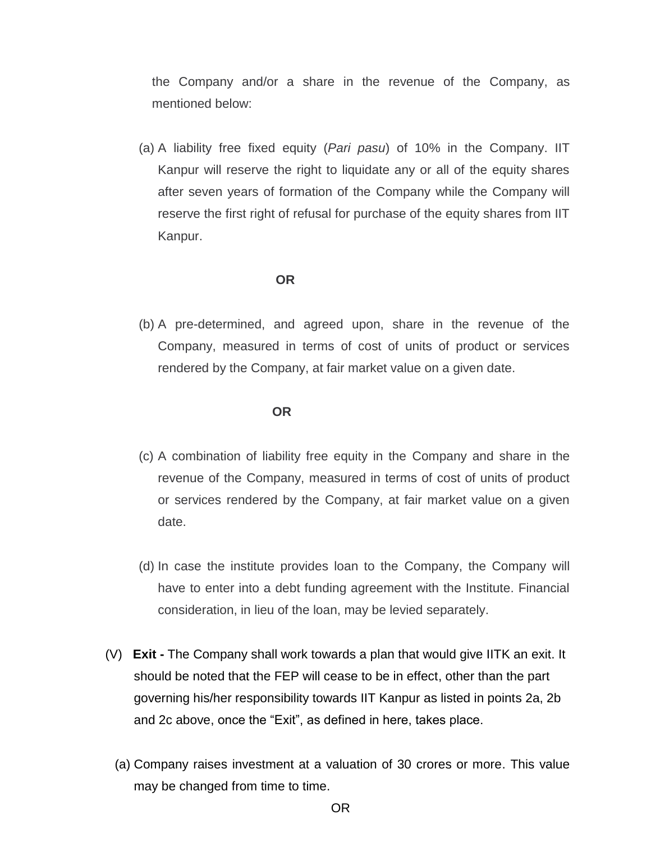the Company and/or a share in the revenue of the Company, as mentioned below:

(a) A liability free fixed equity (*Pari pasu*) of 10% in the Company. IIT Kanpur will reserve the right to liquidate any or all of the equity shares after seven years of formation of the Company while the Company will reserve the first right of refusal for purchase of the equity shares from IIT Kanpur.

#### **OR**

(b) A pre-determined, and agreed upon, share in the revenue of the Company, measured in terms of cost of units of product or services rendered by the Company, at fair market value on a given date.

#### **OR**

- (c) A combination of liability free equity in the Company and share in the revenue of the Company, measured in terms of cost of units of product or services rendered by the Company, at fair market value on a given date.
- (d) In case the institute provides loan to the Company, the Company will have to enter into a debt funding agreement with the Institute. Financial consideration, in lieu of the loan, may be levied separately.
- (V) **Exit -** The Company shall work towards a plan that would give IITK an exit. It should be noted that the FEP will cease to be in effect, other than the part governing his/her responsibility towards IIT Kanpur as listed in points 2a, 2b and 2c above, once the "Exit", as defined in here, takes place.
	- (a) Company raises investment at a valuation of 30 crores or more. This value may be changed from time to time.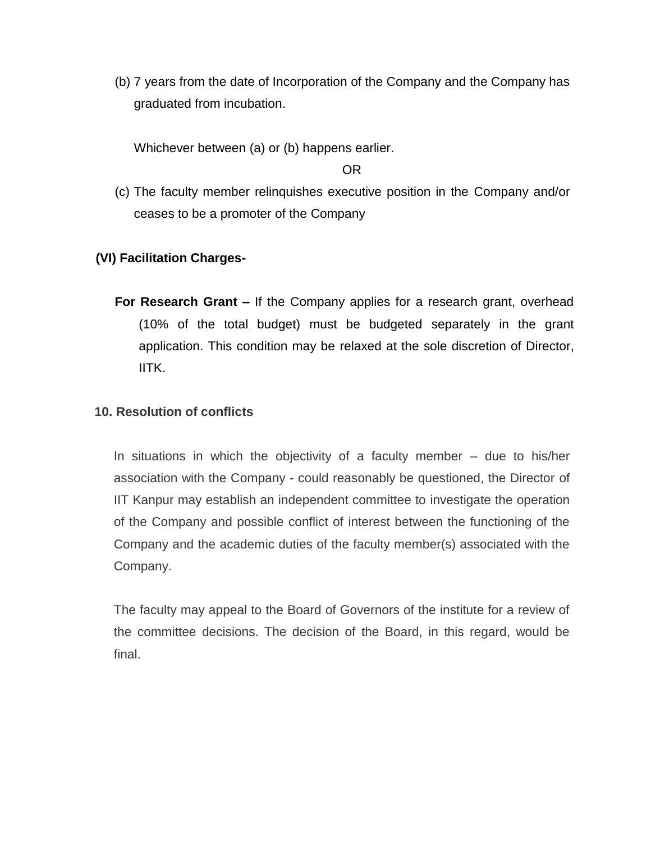(b) 7 years from the date of Incorporation of the Company and the Company has graduated from incubation.

Whichever between (a) or (b) happens earlier.

#### OR

(c) The faculty member relinquishes executive position in the Company and/or ceases to be a promoter of the Company

# **(VI) Facilitation Charges-**

**For Research Grant –** If the Company applies for a research grant, overhead (10% of the total budget) must be budgeted separately in the grant application. This condition may be relaxed at the sole discretion of Director, IITK.

## **10. Resolution of conflicts**

In situations in which the objectivity of a faculty member – due to his/her association with the Company - could reasonably be questioned, the Director of IIT Kanpur may establish an independent committee to investigate the operation of the Company and possible conflict of interest between the functioning of the Company and the academic duties of the faculty member(s) associated with the Company.

The faculty may appeal to the Board of Governors of the institute for a review of the committee decisions. The decision of the Board, in this regard, would be final.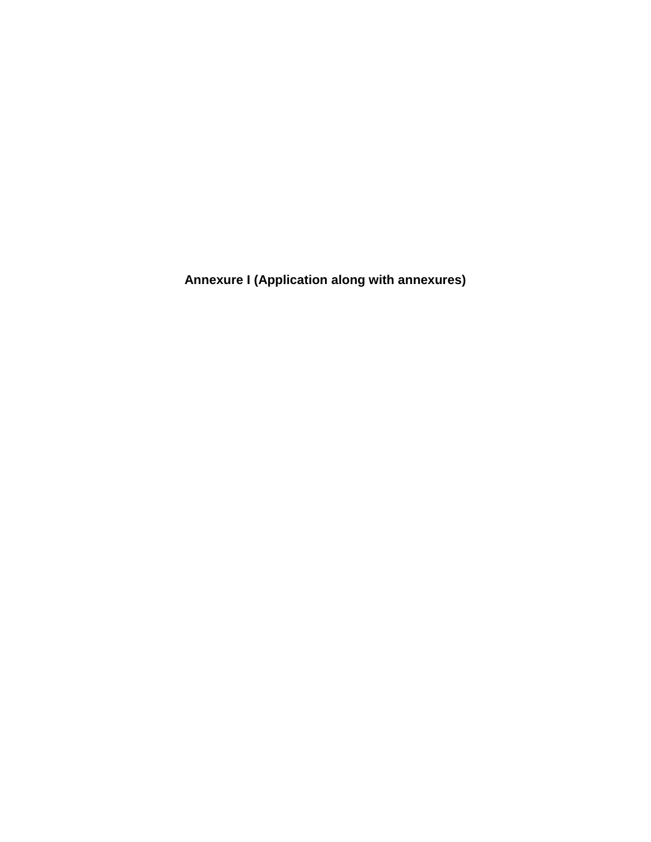**Annexure I (Application along with annexures)**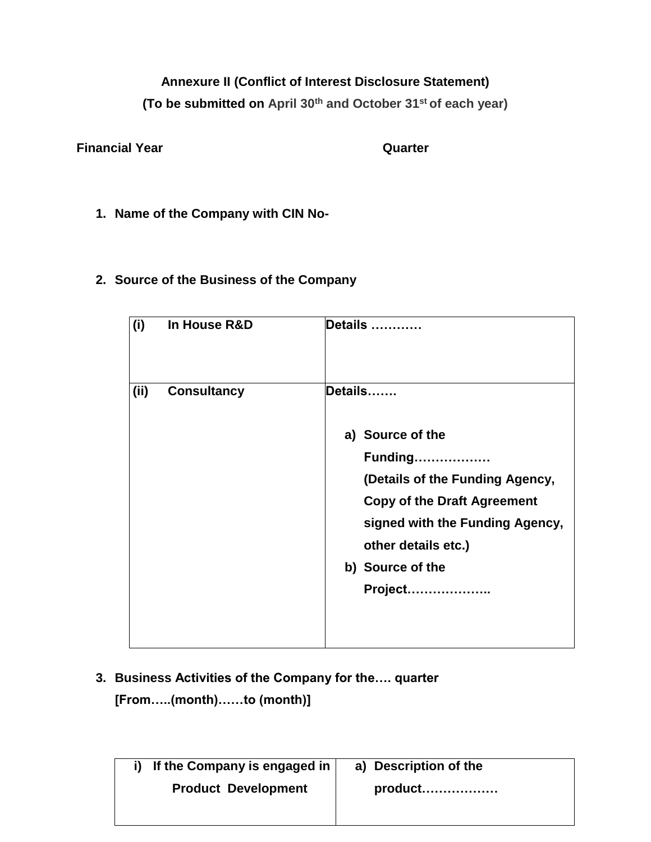# **Annexure II (Conflict of Interest Disclosure Statement)**

**(To be submitted on April 30th and October 31st of each year)**

**Financial Year Quarter Quarter** 

**1. Name of the Company with CIN No-**

# **2. Source of the Business of the Company**

| (i)  | In House R&D       | Details                                                                                                                     |
|------|--------------------|-----------------------------------------------------------------------------------------------------------------------------|
| (ii) | <b>Consultancy</b> | Details<br>a) Source of the<br><b>Funding</b><br>(Details of the Funding Agency,                                            |
|      |                    | <b>Copy of the Draft Agreement</b><br>signed with the Funding Agency,<br>other details etc.)<br>b) Source of the<br>Project |

# **3. Business Activities of the Company for the…. quarter [From…..(month)……to (month)]**

| If the Company is engaged in | a) Description of the |
|------------------------------|-----------------------|
| <b>Product Development</b>   |                       |
|                              |                       |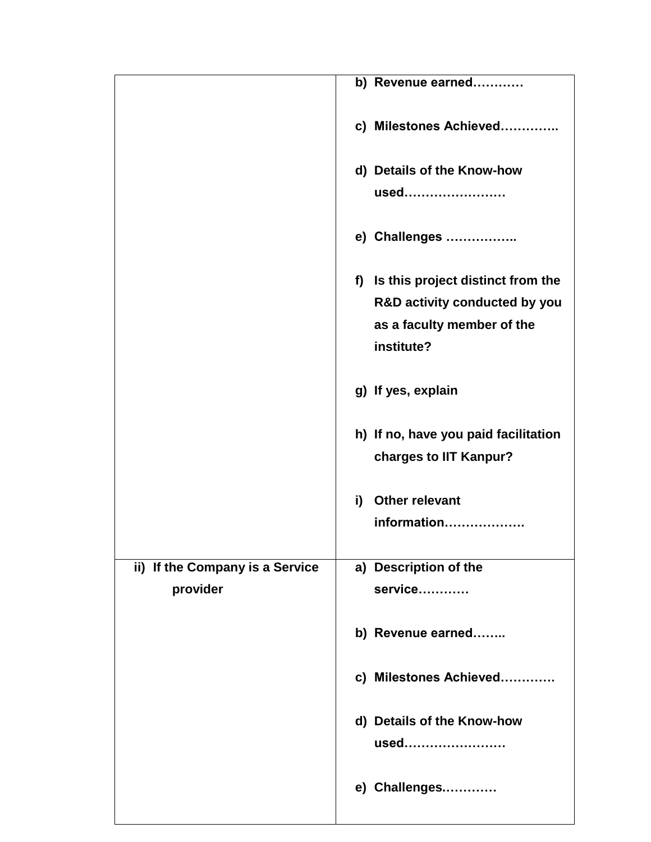|                                 | b) Revenue earned                    |
|---------------------------------|--------------------------------------|
|                                 | c) Milestones Achieved               |
|                                 | d) Details of the Know-how           |
|                                 | used                                 |
|                                 | e) Challenges                        |
|                                 | f) Is this project distinct from the |
|                                 | R&D activity conducted by you        |
|                                 | as a faculty member of the           |
|                                 | institute?                           |
|                                 | g) If yes, explain                   |
|                                 | h) If no, have you paid facilitation |
|                                 | charges to IIT Kanpur?               |
|                                 | <b>Other relevant</b><br>i)          |
|                                 | information                          |
|                                 |                                      |
| ii) If the Company is a Service | a) Description of the                |
| provider                        | service                              |
|                                 | b) Revenue earned                    |
|                                 | c) Milestones Achieved               |
|                                 | d) Details of the Know-how           |
|                                 | used                                 |
|                                 | e) Challenges                        |